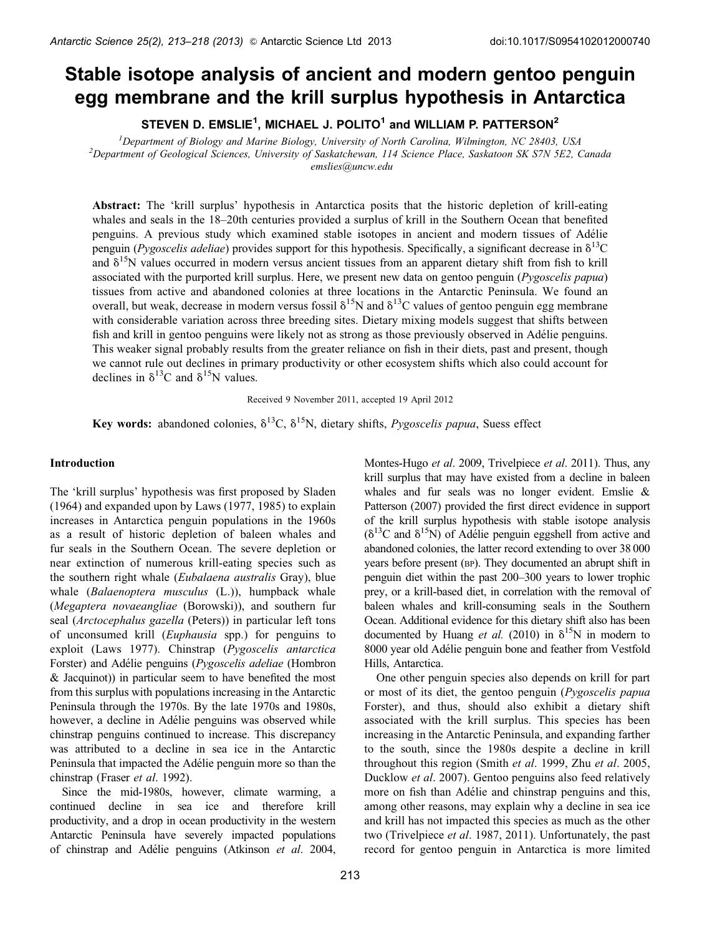# Stable isotope analysis of ancient and modern gentoo penguin egg membrane and the krill surplus hypothesis in Antarctica

STEVEN D. EMSLIE $^{\mathsf{1}},$  MICHAEL J. POLITO $^{\mathsf{1}}$  and WILLIAM P. PATTERSON $^{\mathsf{2}}$ 

<sup>1</sup> Department of Biology and Marine Biology, University of North Carolina, Wilmington, NC 28403, USA<br><sup>2</sup> Department of Geological Sciences, University of Saskatchewan, 114 Science Place, Saskatoon SK S7N 5E2, 0<sup>2</sup> *Department of Geological Sciences, University of Saskatchewan, 114 Science Place, Saskatoon SK S7N 5E2, Canada emslies@uncw.edu*

**Abstract:** The 'krill surplus' hypothesis in Antarctica posits that the historic depletion of krill-eating whales and seals in the 18–20th centuries provided a surplus of krill in the Southern Ocean that benefited penguins. A previous study which examined stable isotopes in ancient and modern tissues of Adélie penguin (*Pygoscelis adeliae*) provides support for this hypothesis. Specifically, a significant decrease in  $\delta^{13}C$ and  $\delta^{15}N$  values occurred in modern versus ancient tissues from an apparent dietary shift from fish to krill associated with the purported krill surplus. Here, we present new data on gentoo penguin (*Pygoscelis papua*) tissues from active and abandoned colonies at three locations in the Antarctic Peninsula. We found an overall, but weak, decrease in modern versus fossil  $\delta^{15}N$  and  $\delta^{13}C$  values of gentoo penguin egg membrane with considerable variation across three breeding sites. Dietary mixing models suggest that shifts between fish and krill in gentoo penguins were likely not as strong as those previously observed in Adélie penguins. This weaker signal probably results from the greater reliance on fish in their diets, past and present, though we cannot rule out declines in primary productivity or other ecosystem shifts which also could account for declines in  $\delta^{13}$ C and  $\delta^{15}$ N values.

Received 9 November 2011, accepted 19 April 2012

**Key words:** abandoned colonies,  $\delta^{13}C$ ,  $\delta^{15}N$ , dietary shifts, *Pygoscelis papua*, Suess effect

## **Introduction**

The 'krill surplus' hypothesis was first proposed by Sladen [\(1964](#page-5-0)) and expanded upon by Laws ([1977, 1985](#page-5-0)) to explain increases in Antarctica penguin populations in the 1960s as a result of historic depletion of baleen whales and fur seals in the Southern Ocean. The severe depletion or near extinction of numerous krill-eating species such as the southern right whale (*Eubalaena australis* Gray), blue whale (*Balaenoptera musculus* (L.)), humpback whale (*Megaptera novaeangliae* (Borowski)), and southern fur seal (*Arctocephalus gazella* (Peters)) in particular left tons of unconsumed krill (*Euphausia* spp.) for penguins to exploit (Laws [1977](#page-5-0)). Chinstrap (*Pygoscelis antarctica* Forster) and Adélie penguins (*Pygoscelis adeliae* (Hombron & Jacquinot)) in particular seem to have benefited the most from this surplus with populations increasing in the Antarctic Peninsula through the 1970s. By the late 1970s and 1980s, however, a decline in Adélie penguins was observed while chinstrap penguins continued to increase. This discrepancy was attributed to a decline in sea ice in the Antarctic Peninsula that impacted the Adélie penguin more so than the chinstrap (Fraser *et al*. [1992](#page-5-0)).

Since the mid-1980s, however, climate warming, a continued decline in sea ice and therefore krill productivity, and a drop in ocean productivity in the western Antarctic Peninsula have severely impacted populations of chinstrap and Adélie penguins (Atkinson et al. [2004](#page-5-0),

Montes-Hugo *et al*. [2009](#page-5-0), Trivelpiece *et al*. [2011\)](#page-5-0). Thus, any krill surplus that may have existed from a decline in baleen whales and fur seals was no longer evident. Emslie & Patterson ([2007\)](#page-5-0) provided the first direct evidence in support of the krill surplus hypothesis with stable isotope analysis  $(\delta^{13}C \text{ and } \delta^{15}N)$  of Adélie penguin eggshell from active and abandoned colonies, the latter record extending to over 38 000 years before present (BP). They documented an abrupt shift in penguin diet within the past 200–300 years to lower trophic prey, or a krill-based diet, in correlation with the removal of baleen whales and krill-consuming seals in the Southern Ocean. Additional evidence for this dietary shift also has been documented by Huang *et al.* [\(2010](#page-5-0)) in  $\delta^{15}N$  in modern to 8000 year old Adélie penguin bone and feather from Vestfold Hills, Antarctica.

One other penguin species also depends on krill for part or most of its diet, the gentoo penguin (*Pygoscelis papua* Forster), and thus, should also exhibit a dietary shift associated with the krill surplus. This species has been increasing in the Antarctic Peninsula, and expanding farther to the south, since the 1980s despite a decline in krill throughout this region (Smith *et al*. [1999,](#page-5-0) Zhu *et al*. [2005](#page-5-0), Ducklow *et al*. [2007](#page-5-0)). Gentoo penguins also feed relatively more on fish than Adélie and chinstrap penguins and this, among other reasons, may explain why a decline in sea ice and krill has not impacted this species as much as the other two (Trivelpiece *et al*. [1987, 2011\)](#page-5-0). Unfortunately, the past record for gentoo penguin in Antarctica is more limited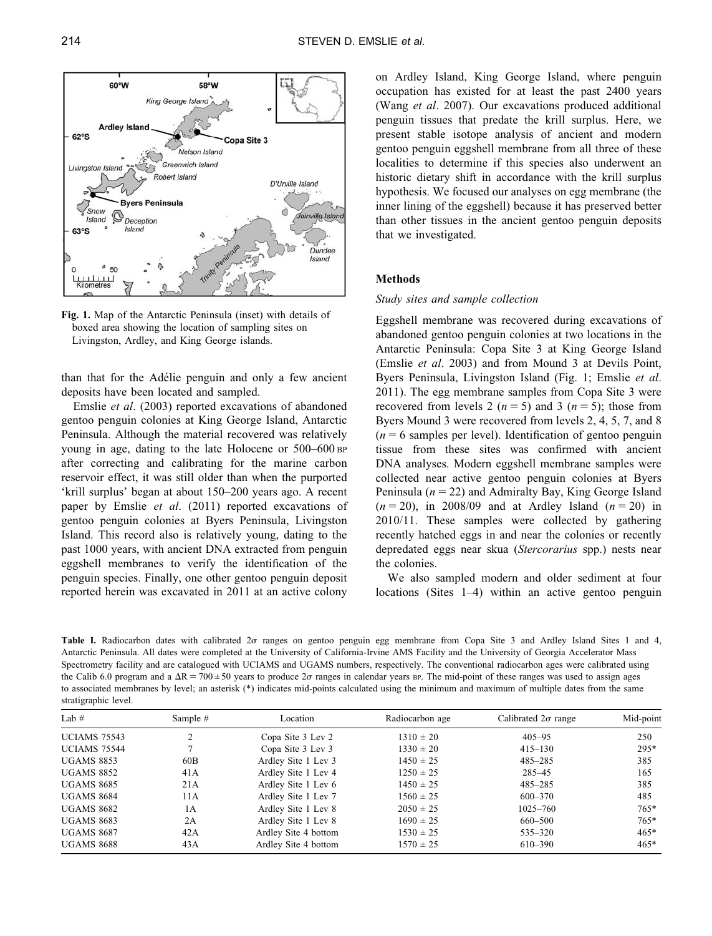<span id="page-1-0"></span>

**Fig. 1.** Map of the Antarctic Peninsula (inset) with details of boxed area showing the location of sampling sites on Livingston, Ardley, and King George islands.

than that for the Adélie penguin and only a few ancient deposits have been located and sampled.

Emslie *et al*. ([2003\)](#page-5-0) reported excavations of abandoned gentoo penguin colonies at King George Island, Antarctic Peninsula. Although the material recovered was relatively young in age, dating to the late Holocene or 500–600 BP after correcting and calibrating for the marine carbon reservoir effect, it was still older than when the purported 'krill surplus' began at about 150–200 years ago. A recent paper by Emslie *et al*. ([2011\)](#page-5-0) reported excavations of gentoo penguin colonies at Byers Peninsula, Livingston Island. This record also is relatively young, dating to the past 1000 years, with ancient DNA extracted from penguin eggshell membranes to verify the identification of the penguin species. Finally, one other gentoo penguin deposit reported herein was excavated in 2011 at an active colony on Ardley Island, King George Island, where penguin occupation has existed for at least the past 2400 years (Wang *et al*. [2007](#page-5-0)). Our excavations produced additional penguin tissues that predate the krill surplus. Here, we present stable isotope analysis of ancient and modern gentoo penguin eggshell membrane from all three of these localities to determine if this species also underwent an historic dietary shift in accordance with the krill surplus hypothesis. We focused our analyses on egg membrane (the inner lining of the eggshell) because it has preserved better than other tissues in the ancient gentoo penguin deposits that we investigated.

# **Methods**

## *Study sites and sample collection*

Eggshell membrane was recovered during excavations of abandoned gentoo penguin colonies at two locations in the Antarctic Peninsula: Copa Site 3 at King George Island (Emslie *et al*. [2003\)](#page-5-0) and from Mound 3 at Devils Point, Byers Peninsula, Livingston Island (Fig. 1; Emslie *et al*. [2011](#page-5-0)). The egg membrane samples from Copa Site 3 were recovered from levels 2 ( $n = 5$ ) and 3 ( $n = 5$ ); those from Byers Mound 3 were recovered from levels 2, 4, 5, 7, and 8  $(n = 6$  samples per level). Identification of gentoo penguin tissue from these sites was confirmed with ancient DNA analyses. Modern eggshell membrane samples were collected near active gentoo penguin colonies at Byers Peninsula ( $n = 22$ ) and Admiralty Bay, King George Island  $(n = 20)$ , in 2008/09 and at Ardley Island  $(n = 20)$  in 2010/11. These samples were collected by gathering recently hatched eggs in and near the colonies or recently depredated eggs near skua (*Stercorarius* spp.) nests near the colonies.

We also sampled modern and older sediment at four locations (Sites 1–4) within an active gentoo penguin

Table I. Radiocarbon dates with calibrated 2or ranges on gentoo penguin egg membrane from Copa Site 3 and Ardley Island Sites 1 and 4, Antarctic Peninsula. All dates were completed at the University of California-Irvine AMS Facility and the University of Georgia Accelerator Mass Spectrometry facility and are catalogued with UCIAMS and UGAMS numbers, respectively. The conventional radiocarbon ages were calibrated using the Calib 6.0 program and a  $\Delta R = 700 \pm 50$  years to produce 2 $\sigma$  ranges in calendar years BP. The mid-point of these ranges was used to assign ages to associated membranes by level; an asterisk (\*) indicates mid-points calculated using the minimum and maximum of multiple dates from the same stratigraphic level.

| Lab $#$                             | Sample $#$ | Location             | Radiocarbon age | Calibrated $2\sigma$ range | Mid-point |
|-------------------------------------|------------|----------------------|-----------------|----------------------------|-----------|
| <sup>1</sup><br><b>UCIAMS 75543</b> |            | Copa Site 3 Lev 2    | $1310 \pm 20$   | $405 - 95$                 | 250       |
| <b>UCIAMS 75544</b>                 |            | Copa Site 3 Lev 3    | $1330 \pm 20$   | $415 - 130$                | $295*$    |
| <b>UGAMS 8853</b>                   | 60B        | Ardley Site 1 Lev 3  | $1450 \pm 25$   | $485 - 285$                | 385       |
| <b>UGAMS 8852</b>                   | 41A        | Ardley Site 1 Lev 4  | $1250 \pm 25$   | $285 - 45$                 | 165       |
| <b>UGAMS 8685</b>                   | 21A        | Ardley Site 1 Lev 6  | $1450 \pm 25$   | $485 - 285$                | 385       |
| <b>UGAMS 8684</b>                   | 11A        | Ardley Site 1 Lev 7  | $1560 \pm 25$   | 600-370                    | 485       |
| <b>UGAMS 8682</b>                   | 1 A        | Ardley Site 1 Lev 8  | $2050 \pm 25$   | $1025 - 760$               | $765*$    |
| <b>UGAMS 8683</b>                   | 2A         | Ardley Site 1 Lev 8  | $1690 \pm 25$   | 660-500                    | $765*$    |
| <b>UGAMS 8687</b>                   | 42A        | Ardley Site 4 bottom | $1530 \pm 25$   | 535-320                    | $465*$    |
| <b>UGAMS 8688</b>                   | 43 A       | Ardley Site 4 bottom | $1570 \pm 25$   | 610-390                    | $465*$    |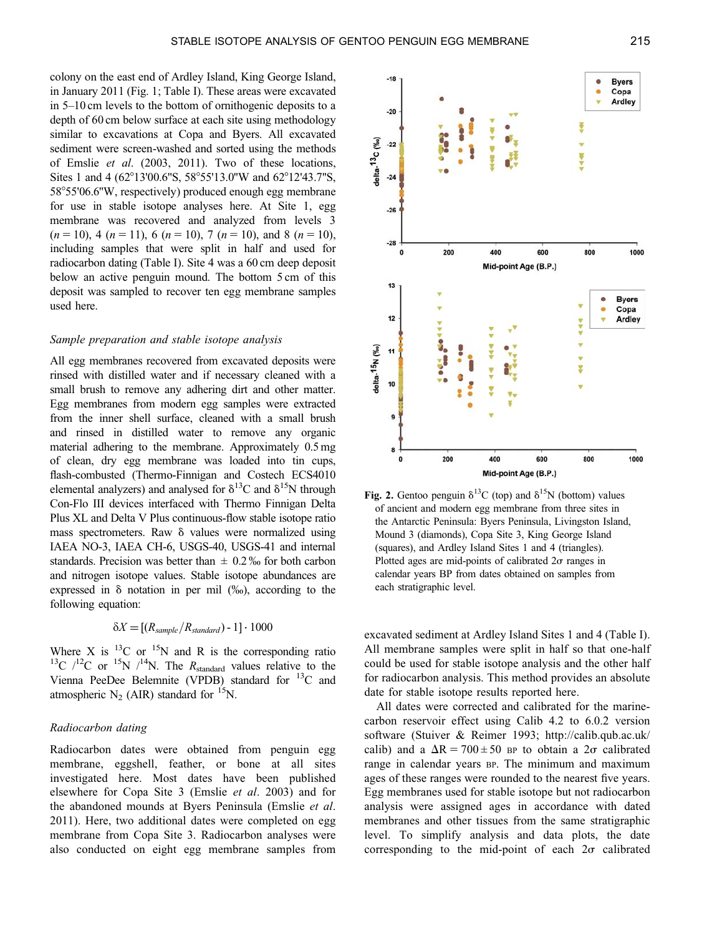<span id="page-2-0"></span>colony on the east end of Ardley Island, King George Island, in January 2011 [\(Fig. 1; Table I\)](#page-1-0). These areas were excavated in 5–10 cm levels to the bottom of ornithogenic deposits to a depth of 60 cm below surface at each site using methodology similar to excavations at Copa and Byers. All excavated sediment were screen-washed and sorted using the methods of Emslie *et al*. [\(2003](#page-5-0), [2011](#page-5-0)). Two of these locations, Sites 1 and 4 (62°13'00.6"S, 58°55'13.0"W and 62°12'43.7"S, 58°55'06.6"W, respectively) produced enough egg membrane for use in stable isotope analyses here. At Site 1, egg membrane was recovered and analyzed from levels 3  $(n = 10)$ , 4  $(n = 11)$ , 6  $(n = 10)$ , 7  $(n = 10)$ , and 8  $(n = 10)$ , including samples that were split in half and used for radiocarbon dating ([Table I](#page-1-0)). Site 4 was a 60 cm deep deposit below an active penguin mound. The bottom 5 cm of this deposit was sampled to recover ten egg membrane samples used here.

#### *Sample preparation and stable isotope analysis*

All egg membranes recovered from excavated deposits were rinsed with distilled water and if necessary cleaned with a small brush to remove any adhering dirt and other matter. Egg membranes from modern egg samples were extracted from the inner shell surface, cleaned with a small brush and rinsed in distilled water to remove any organic material adhering to the membrane. Approximately 0.5 mg of clean, dry egg membrane was loaded into tin cups, flash-combusted (Thermo-Finnigan and Costech ECS4010 elemental analyzers) and analysed for  $\delta^{13}$ C and  $\delta^{15}$ N through Con-Flo III devices interfaced with Thermo Finnigan Delta Plus XL and Delta V Plus continuous-flow stable isotope ratio mass spectrometers. Raw  $\delta$  values were normalized using IAEA NO-3, IAEA CH-6, USGS-40, USGS-41 and internal standards. Precision was better than  $\pm 0.2\%$  for both carbon and nitrogen isotope values. Stable isotope abundances are expressed in  $\delta$  notation in per mil (%), according to the following equation:

$$
\delta X = [(R_{sample}/R_{standard})-1] \cdot 1000
$$

Where X is  $^{13}$ C or  $^{15}$ N and R is the corresponding ratio <sup>13</sup>C  $/12$ C or <sup>15</sup>N  $/14$ N. The *R*<sub>standard</sub> values relative to the Vienna PeeDee Belemnite (VPDB) standard for 13C and atmospheric  $N_2$  (AIR) standard for <sup>15</sup>N.

#### *Radiocarbon dating*

Radiocarbon dates were obtained from penguin egg membrane, eggshell, feather, or bone at all sites investigated here. Most dates have been published elsewhere for Copa Site 3 (Emslie *et al*. [2003\)](#page-5-0) and for the abandoned mounds at Byers Peninsula (Emslie *et al*. [2011\)](#page-5-0). Here, two additional dates were completed on egg membrane from Copa Site 3. Radiocarbon analyses were also conducted on eight egg membrane samples from



**Fig. 2.** Gentoo penguin  $\delta^{13}$ C (top) and  $\delta^{15}$ N (bottom) values of ancient and modern egg membrane from three sites in the Antarctic Peninsula: Byers Peninsula, Livingston Island, Mound 3 (diamonds), Copa Site 3, King George Island (squares), and Ardley Island Sites 1 and 4 (triangles). Plotted ages are mid-points of calibrated  $2\sigma$  ranges in calendar years BP from dates obtained on samples from each stratigraphic level.

excavated sediment at Ardley Island Sites 1 and 4 ([Table I](#page-1-0)). All membrane samples were split in half so that one-half could be used for stable isotope analysis and the other half for radiocarbon analysis. This method provides an absolute date for stable isotope results reported here.

All dates were corrected and calibrated for the marinecarbon reservoir effect using Calib 4.2 to 6.0.2 version software (Stuiver & Reimer [1993](#page-5-0); http://calib.qub.ac.uk/ calib) and a  $\Delta R = 700 \pm 50$  BP to obtain a  $2\sigma$  calibrated range in calendar years BP. The minimum and maximum ages of these ranges were rounded to the nearest five years. Egg membranes used for stable isotope but not radiocarbon analysis were assigned ages in accordance with dated membranes and other tissues from the same stratigraphic level. To simplify analysis and data plots, the date corresponding to the mid-point of each  $2\sigma$  calibrated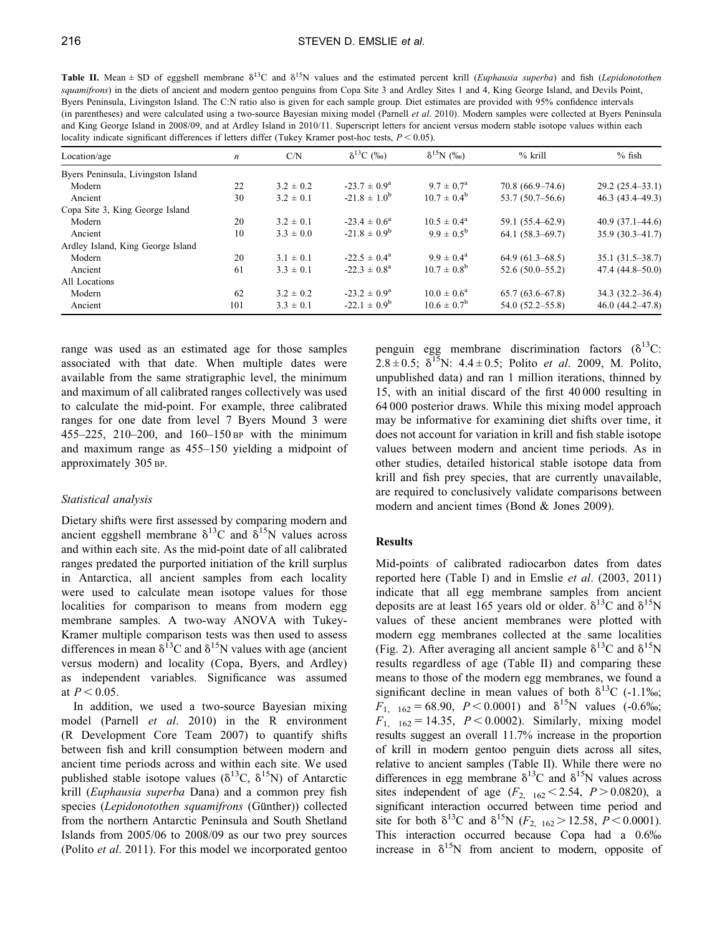<span id="page-3-0"></span>**Table II.** Mean  $\pm$  SD of eggshell membrane  $\delta^{13}C$  and  $\delta^{15}N$  values and the estimated percent krill (*Euphausia superba*) and fish (*Lepidonotothen squamifrons*) in the diets of ancient and modern gentoo penguins from Copa Site 3 and Ardley Sites 1 and 4, King George Island, and Devils Point, Byers Peninsula, Livingston Island. The C:N ratio also is given for each sample group. Diet estimates are provided with 95% confidence intervals (in parentheses) and were calculated using a two-source Bayesian mixing model (Parnell *et al*. [2010\)](#page-5-0). Modern samples were collected at Byers Peninsula and King George Island in 2008/09, and at Ardley Island in 2010/11. Superscript letters for ancient versus modern stable isotope values within each locality indicate significant differences if letters differ (Tukey Kramer post-hoc tests,  $P < 0.05$ ).

| Location/age                       | $\boldsymbol{n}$ | C/N           | $\delta^{13}C$ (%)      | $δ15N$ (‰)             | $%$ krill           | $%$ fish            |
|------------------------------------|------------------|---------------|-------------------------|------------------------|---------------------|---------------------|
| Byers Peninsula, Livingston Island |                  |               |                         |                        |                     |                     |
| Modern                             | 22               | $3.2 \pm 0.2$ | $-23.7 \pm 0.9^{\circ}$ | $9.7 \pm 0.7^{\rm a}$  | $70.8(66.9-74.6)$   | $29.2(25.4 - 33.1)$ |
| Ancient                            | 30               | $3.2 \pm 0.1$ | $-21.8 \pm 1.0^{b}$     | $10.7 \pm 0.4^b$       | $53.7(50.7-56.6)$   | $46.3(43.4 - 49.3)$ |
| Copa Site 3, King George Island    |                  |               |                         |                        |                     |                     |
| Modern                             | 20               | $3.2 \pm 0.1$ | $-23.4 \pm 0.6^{\circ}$ | $10.5 \pm 0.4^{\circ}$ | 59.1 (55.4–62.9)    | $40.9(37.1 - 44.6)$ |
| Ancient                            | 10               | $3.3 \pm 0.0$ | $-21.8 \pm 0.9^{\rm b}$ | $9.9 \pm 0.5^{\rm b}$  | $64.1(58.3-69.7)$   | $35.9(30.3 - 41.7)$ |
| Ardley Island, King George Island  |                  |               |                         |                        |                     |                     |
| Modern                             | 20               | $3.1 \pm 0.1$ | $-22.5 \pm 0.4^{\circ}$ | $9.9 \pm 0.4^{\circ}$  | $64.9(61.3 - 68.5)$ | $35.1(31.5-38.7)$   |
| Ancient                            | 61               | $3.3 \pm 0.1$ | $-22.3 \pm 0.8^{\rm a}$ | $10.7 \pm 0.8^{\rm b}$ | $52.6(50.0-55.2)$   | $47.4(44.8 - 50.0)$ |
| All Locations                      |                  |               |                         |                        |                     |                     |
| Modern                             | 62               | $3.2 \pm 0.2$ | $-23.2 \pm 0.9^{\rm a}$ | $10.0 \pm 0.6^{\circ}$ | $65.7(63.6 - 67.8)$ | $34.3(32.2 - 36.4)$ |
| Ancient                            | 101              | $3.3 \pm 0.1$ | $-22.1 \pm 0.9^{\rm b}$ | $10.6 \pm 0.7^b$       | $54.0(52.2 - 55.8)$ | $46.0(44.2 - 47.8)$ |

range was used as an estimated age for those samples associated with that date. When multiple dates were available from the same stratigraphic level, the minimum and maximum of all calibrated ranges collectively was used to calculate the mid-point. For example, three calibrated ranges for one date from level 7 Byers Mound 3 were 455–225, 210–200, and 160–150 BP with the minimum and maximum range as 455–150 yielding a midpoint of approximately 305 BP.

# *Statistical analysis*

Dietary shifts were first assessed by comparing modern and ancient eggshell membrane  $\delta^{13}$ C and  $\delta^{15}$ N values across and within each site. As the mid-point date of all calibrated ranges predated the purported initiation of the krill surplus in Antarctica, all ancient samples from each locality were used to calculate mean isotope values for those localities for comparison to means from modern egg membrane samples. A two-way ANOVA with Tukey-Kramer multiple comparison tests was then used to assess differences in mean  $\delta^{13}$ C and  $\delta^{15}$ N values with age (ancient versus modern) and locality (Copa, Byers, and Ardley) as independent variables. Significance was assumed at  $P < 0.05$ .

In addition, we used a two-source Bayesian mixing model (Parnell *et al*. [2010\)](#page-5-0) in the R environment (R Development Core Team 2007) to quantify shifts between fish and krill consumption between modern and ancient time periods across and within each site. We used published stable isotope values ( $\delta^{13}$ C,  $\delta^{15}$ N) of Antarctic krill (*Euphausia superba* Dana) and a common prey fish species (*Lepidonotothen squamifrons* (Günther)) collected from the northern Antarctic Peninsula and South Shetland Islands from 2005/06 to 2008/09 as our two prey sources (Polito *et al*. [2011\)](#page-5-0). For this model we incorporated gentoo penguin egg membrane discrimination factors  $(\delta^{13}C)$ : 2.8  $\pm$  0.5;  $\delta^{15}$ N: 4.4  $\pm$  0.5; Polito *et al.* [2009,](#page-5-0) M. Polito, unpublished data) and ran 1 million iterations, thinned by 15, with an initial discard of the first 40 000 resulting in 64 000 posterior draws. While this mixing model approach may be informative for examining diet shifts over time, it does not account for variation in krill and fish stable isotope values between modern and ancient time periods. As in other studies, detailed historical stable isotope data from krill and fish prey species, that are currently unavailable, are required to conclusively validate comparisons between modern and ancient times (Bond & Jones [2009](#page-5-0)).

# **Results**

Mid-points of calibrated radiocarbon dates from dates reported here [\(Table I](#page-1-0)) and in Emslie *et al*. ([2003, 2011](#page-5-0)) indicate that all egg membrane samples from ancient deposits are at least 165 years old or older.  $\delta^{13}$ C and  $\delta^{15}$ N values of these ancient membranes were plotted with modern egg membranes collected at the same localities ([Fig. 2\)](#page-2-0). After averaging all ancient sample  $\delta^{13}$ C and  $\delta^{15}$ N results regardless of age (Table II) and comparing these means to those of the modern egg membranes, we found a significant decline in mean values of both  $\delta^{13}$ C (-1.1\%).  $F_{1, 162} = 68.90, P < 0.0001$ ) and  $\delta^{15}$ N values (-0.6%;  $F_{1, 162} = 14.35, P < 0.0002$ . Similarly, mixing model results suggest an overall 11.7% increase in the proportion of krill in modern gentoo penguin diets across all sites, relative to ancient samples (Table II). While there were no differences in egg membrane  $\delta^{13}$ C and  $\delta^{15}$ N values across sites independent of age  $(F_{2, 162} < 2.54, P > 0.0820)$ , a significant interaction occurred between time period and site for both  $\delta^{13}$ C and  $\delta^{15}$ N (*F*<sub>2, 162</sub> > 12.58, *P* < 0.0001). This interaction occurred because Copa had a 0.6% increase in  $\delta^{15}N$  from ancient to modern, opposite of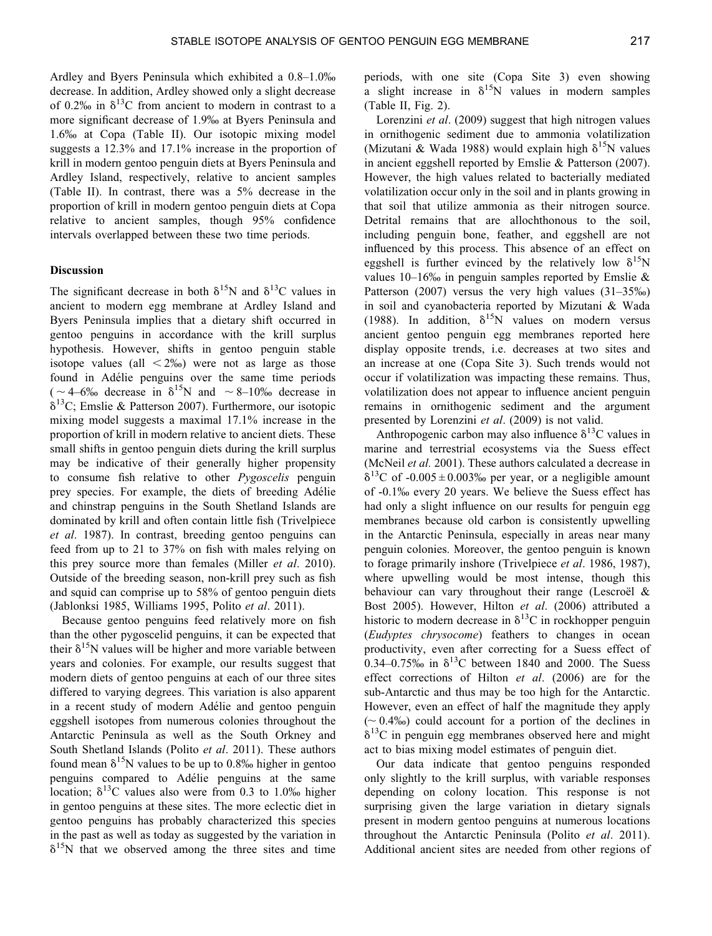Ardley and Byers Peninsula which exhibited a 0.8–1.0% decrease. In addition, Ardley showed only a slight decrease of 0.2% in  $\delta^{13}$ C from ancient to modern in contrast to a more significant decrease of 1.9% at Byers Peninsula and 1.6% at Copa [\(Table II](#page-3-0)). Our isotopic mixing model suggests a 12.3% and 17.1% increase in the proportion of krill in modern gentoo penguin diets at Byers Peninsula and Ardley Island, respectively, relative to ancient samples [\(Table II\)](#page-3-0). In contrast, there was a 5% decrease in the proportion of krill in modern gentoo penguin diets at Copa relative to ancient samples, though 95% confidence intervals overlapped between these two time periods.

## **Discussion**

The significant decrease in both  $\delta^{15}N$  and  $\delta^{13}C$  values in ancient to modern egg membrane at Ardley Island and Byers Peninsula implies that a dietary shift occurred in gentoo penguins in accordance with the krill surplus hypothesis. However, shifts in gentoo penguin stable isotope values (all  $\langle 2\% \rangle$ ) were not as large as those found in Adélie penguins over the same time periods  $( $\sim$  4–6% decrease in  $\delta^{15}$ N and  $\sim$  8–10% decrease in$  $\delta^{13}$ C; Emslie & Patterson [2007\)](#page-5-0). Furthermore, our isotopic mixing model suggests a maximal 17.1% increase in the proportion of krill in modern relative to ancient diets. These small shifts in gentoo penguin diets during the krill surplus may be indicative of their generally higher propensity to consume fish relative to other *Pygoscelis* penguin prey species. For example, the diets of breeding Adélie and chinstrap penguins in the South Shetland Islands are dominated by krill and often contain little fish (Trivelpiece *et al*. [1987\)](#page-5-0). In contrast, breeding gentoo penguins can feed from up to 21 to 37% on fish with males relying on this prey source more than females (Miller *et al*. [2010](#page-5-0)). Outside of the breeding season, non-krill prey such as fish and squid can comprise up to 58% of gentoo penguin diets (Jablonksi [1985](#page-5-0), Williams [1995](#page-5-0), Polito *et al*. [2011](#page-5-0)).

Because gentoo penguins feed relatively more on fish than the other pygoscelid penguins, it can be expected that their  $\delta^{15}$ N values will be higher and more variable between years and colonies. For example, our results suggest that modern diets of gentoo penguins at each of our three sites differed to varying degrees. This variation is also apparent in a recent study of modern Adélie and gentoo penguin eggshell isotopes from numerous colonies throughout the Antarctic Peninsula as well as the South Orkney and South Shetland Islands (Polito *et al*. [2011\)](#page-5-0). These authors found mean  $\delta^{15}N$  values to be up to 0.8% higher in gentoo penguins compared to Adélie penguins at the same location;  $\delta^{13}$ C values also were from 0.3 to 1.0% higher in gentoo penguins at these sites. The more eclectic diet in gentoo penguins has probably characterized this species in the past as well as today as suggested by the variation in  $\delta^{15}$ N that we observed among the three sites and time periods, with one site (Copa Site 3) even showing a slight increase in  $\delta^{15}N$  values in modern samples [\(Table II,](#page-3-0) [Fig. 2\)](#page-2-0).

Lorenzini *et al*. ([2009\)](#page-5-0) suggest that high nitrogen values in ornithogenic sediment due to ammonia volatilization (Mizutani & Wada [1988\)](#page-5-0) would explain high  $\delta^{15}N$  values in ancient eggshell reported by Emslie & Patterson [\(2007](#page-5-0)). However, the high values related to bacterially mediated volatilization occur only in the soil and in plants growing in that soil that utilize ammonia as their nitrogen source. Detrital remains that are allochthonous to the soil, including penguin bone, feather, and eggshell are not influenced by this process. This absence of an effect on eggshell is further evinced by the relatively low  $\delta^{15}N$ values  $10-16\%$  in penguin samples reported by Emslie & Patterson [\(2007](#page-5-0)) versus the very high values (31–35‰) in soil and cyanobacteria reported by Mizutani & Wada [\(1988](#page-5-0)). In addition,  $\delta^{15}N$  values on modern versus ancient gentoo penguin egg membranes reported here display opposite trends, i.e. decreases at two sites and an increase at one (Copa Site 3). Such trends would not occur if volatilization was impacting these remains. Thus, volatilization does not appear to influence ancient penguin remains in ornithogenic sediment and the argument presented by Lorenzini *et al*. ([2009\)](#page-5-0) is not valid.

Anthropogenic carbon may also influence  $\delta^{13}$ C values in marine and terrestrial ecosystems via the Suess effect (McNeil *et al.* 2001). These authors calculated a decrease in  $\delta^{13}$ C of -0.005  $\pm$  0.003‰ per year, or a negligible amount of -0.1% every 20 years. We believe the Suess effect has had only a slight influence on our results for penguin egg membranes because old carbon is consistently upwelling in the Antarctic Peninsula, especially in areas near many penguin colonies. Moreover, the gentoo penguin is known to forage primarily inshore (Trivelpiece *et al*. [1986, 1987](#page-5-0)), where upwelling would be most intense, though this behaviour can vary throughout their range (Lescroel  $\&$ Bost [2005\)](#page-5-0). However, Hilton *et al*. ([2006\)](#page-5-0) attributed a historic to modern decrease in  $\delta^{13}$ C in rockhopper penguin (*Eudyptes chrysocome*) feathers to changes in ocean productivity, even after correcting for a Suess effect of 0.34–0.75‰ in  $\delta^{13}$ C between 1840 and 2000. The Suess effect corrections of Hilton *et al*. (2006) are for the sub-Antarctic and thus may be too high for the Antarctic. However, even an effect of half the magnitude they apply  $({\sim} 0.4\%)$  could account for a portion of the declines in  $\delta^{13}$ C in penguin egg membranes observed here and might act to bias mixing model estimates of penguin diet.

Our data indicate that gentoo penguins responded only slightly to the krill surplus, with variable responses depending on colony location. This response is not surprising given the large variation in dietary signals present in modern gentoo penguins at numerous locations throughout the Antarctic Peninsula (Polito *et al*. [2011](#page-5-0)). Additional ancient sites are needed from other regions of